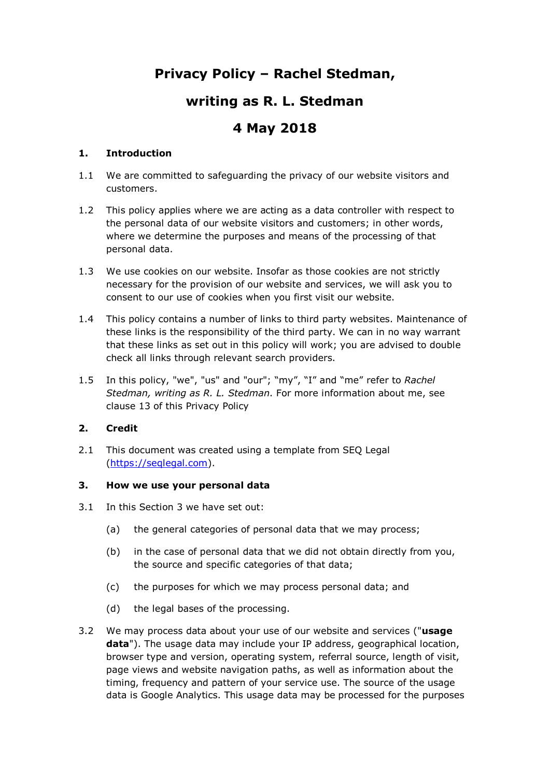## **Privacy Policy – Rachel Stedman,**

## **writing as R. L. Stedman**

# **4 May 2018**

## **1. Introduction**

- 1.1 We are committed to safeguarding the privacy of our website visitors and customers.
- 1.2 This policy applies where we are acting as a data controller with respect to the personal data of our website visitors and customers; in other words, where we determine the purposes and means of the processing of that personal data.
- 1.3 We use cookies on our website. Insofar as those cookies are not strictly necessary for the provision of our website and services, we will ask you to consent to our use of cookies when you first visit our website.
- 1.4 This policy contains a number of links to third party websites. Maintenance of these links is the responsibility of the third party. We can in no way warrant that these links as set out in this policy will work; you are advised to double check all links through relevant search providers.
- 1.5 In this policy, "we", "us" and "our"; "my", "I" and "me" refer to *Rachel Stedman, writing as R. L. Stedman*. For more information about me, see clause 13 of this Privacy Policy

## **2. Credit**

2.1 This document was created using a template from SEO Legal [\(https://seqlegal.com\)](https://seqlegal.com/).

#### **3. How we use your personal data**

- 3.1 In this Section 3 we have set out:
	- (a) the general categories of personal data that we may process;
	- (b) in the case of personal data that we did not obtain directly from you, the source and specific categories of that data;
	- (c) the purposes for which we may process personal data; and
	- (d) the legal bases of the processing.
- 3.2 We may process data about your use of our website and services ("**usage data**"). The usage data may include your IP address, geographical location, browser type and version, operating system, referral source, length of visit, page views and website navigation paths, as well as information about the timing, frequency and pattern of your service use. The source of the usage data is Google Analytics. This usage data may be processed for the purposes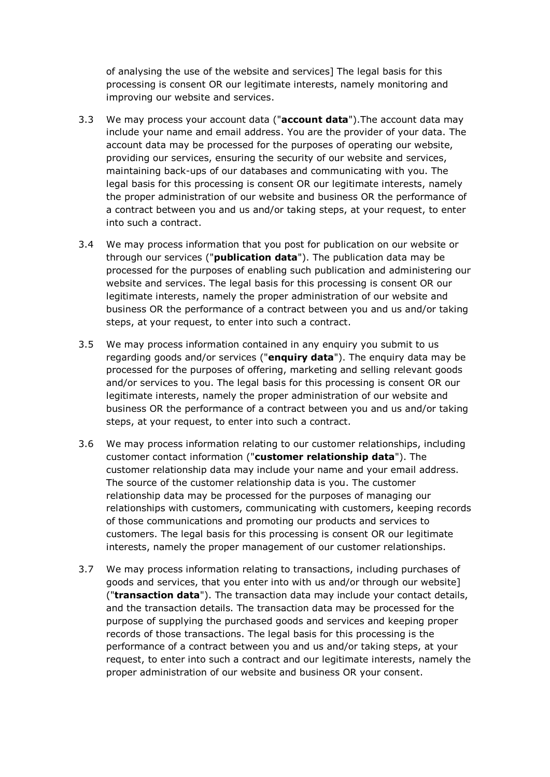of analysing the use of the website and services] The legal basis for this processing is consent OR our legitimate interests, namely monitoring and improving our website and services.

- 3.3 We may process your account data ("**account data**").The account data may include your name and email address. You are the provider of your data. The account data may be processed for the purposes of operating our website, providing our services, ensuring the security of our website and services, maintaining back-ups of our databases and communicating with you. The legal basis for this processing is consent OR our legitimate interests, namely the proper administration of our website and business OR the performance of a contract between you and us and/or taking steps, at your request, to enter into such a contract.
- 3.4 We may process information that you post for publication on our website or through our services ("**publication data**"). The publication data may be processed for the purposes of enabling such publication and administering our website and services. The legal basis for this processing is consent OR our legitimate interests, namely the proper administration of our website and business OR the performance of a contract between you and us and/or taking steps, at your request, to enter into such a contract.
- 3.5 We may process information contained in any enquiry you submit to us regarding goods and/or services ("**enquiry data**"). The enquiry data may be processed for the purposes of offering, marketing and selling relevant goods and/or services to you. The legal basis for this processing is consent OR our legitimate interests, namely the proper administration of our website and business OR the performance of a contract between you and us and/or taking steps, at your request, to enter into such a contract.
- 3.6 We may process information relating to our customer relationships, including customer contact information ("**customer relationship data**"). The customer relationship data may include your name and your email address. The source of the customer relationship data is you. The customer relationship data may be processed for the purposes of managing our relationships with customers, communicating with customers, keeping records of those communications and promoting our products and services to customers. The legal basis for this processing is consent OR our legitimate interests, namely the proper management of our customer relationships.
- 3.7 We may process information relating to transactions, including purchases of goods and services, that you enter into with us and/or through our website] ("**transaction data**"). The transaction data may include your contact details, and the transaction details. The transaction data may be processed for the purpose of supplying the purchased goods and services and keeping proper records of those transactions. The legal basis for this processing is the performance of a contract between you and us and/or taking steps, at your request, to enter into such a contract and our legitimate interests, namely the proper administration of our website and business OR your consent.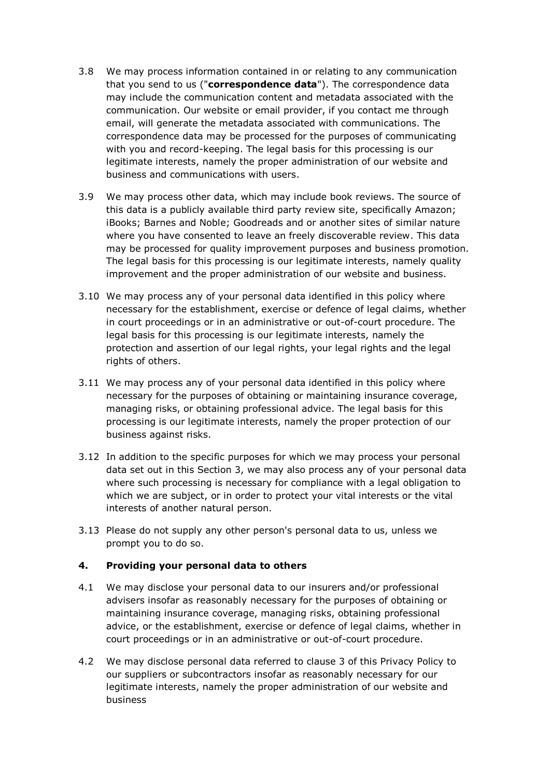- 3.8 We may process information contained in or relating to any communication that you send to us ("**correspondence data**"). The correspondence data may include the communication content and metadata associated with the communication. Our website or email provider, if you contact me through email, will generate the metadata associated with communications. The correspondence data may be processed for the purposes of communicating with you and record-keeping. The legal basis for this processing is our legitimate interests, namely the proper administration of our website and business and communications with users.
- 3.9 We may process other data, which may include book reviews. The source of this data is a publicly available third party review site, specifically Amazon; iBooks; Barnes and Noble; Goodreads and or another sites of similar nature where you have consented to leave an freely discoverable review. This data may be processed for quality improvement purposes and business promotion. The legal basis for this processing is our legitimate interests, namely quality improvement and the proper administration of our website and business.
- 3.10 We may process any of your personal data identified in this policy where necessary for the establishment, exercise or defence of legal claims, whether in court proceedings or in an administrative or out-of-court procedure. The legal basis for this processing is our legitimate interests, namely the protection and assertion of our legal rights, your legal rights and the legal rights of others.
- 3.11 We may process any of your personal data identified in this policy where necessary for the purposes of obtaining or maintaining insurance coverage, managing risks, or obtaining professional advice. The legal basis for this processing is our legitimate interests, namely the proper protection of our business against risks.
- 3.12 In addition to the specific purposes for which we may process your personal data set out in this Section 3, we may also process any of your personal data where such processing is necessary for compliance with a legal obligation to which we are subject, or in order to protect your vital interests or the vital interests of another natural person.
- 3.13 Please do not supply any other person's personal data to us, unless we prompt you to do so.

#### **4. Providing your personal data to others**

- 4.1 We may disclose your personal data to our insurers and/or professional advisers insofar as reasonably necessary for the purposes of obtaining or maintaining insurance coverage, managing risks, obtaining professional advice, or the establishment, exercise or defence of legal claims, whether in court proceedings or in an administrative or out-of-court procedure.
- 4.2 We may disclose personal data referred to clause 3 of this Privacy Policy to our suppliers or subcontractors insofar as reasonably necessary for our legitimate interests, namely the proper administration of our website and business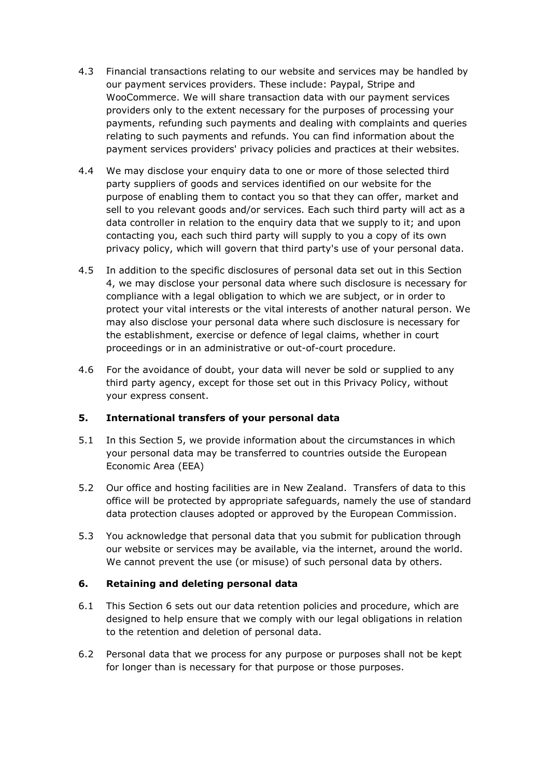- 4.3 Financial transactions relating to our website and services may be handled by our payment services providers. These include: Paypal, Stripe and WooCommerce. We will share transaction data with our payment services providers only to the extent necessary for the purposes of processing your payments, refunding such payments and dealing with complaints and queries relating to such payments and refunds. You can find information about the payment services providers' privacy policies and practices at their websites.
- 4.4 We may disclose your enquiry data to one or more of those selected third party suppliers of goods and services identified on our website for the purpose of enabling them to contact you so that they can offer, market and sell to you relevant goods and/or services. Each such third party will act as a data controller in relation to the enquiry data that we supply to it; and upon contacting you, each such third party will supply to you a copy of its own privacy policy, which will govern that third party's use of your personal data.
- 4.5 In addition to the specific disclosures of personal data set out in this Section 4, we may disclose your personal data where such disclosure is necessary for compliance with a legal obligation to which we are subject, or in order to protect your vital interests or the vital interests of another natural person. We may also disclose your personal data where such disclosure is necessary for the establishment, exercise or defence of legal claims, whether in court proceedings or in an administrative or out-of-court procedure.
- 4.6 For the avoidance of doubt, your data will never be sold or supplied to any third party agency, except for those set out in this Privacy Policy, without your express consent.

#### **5. International transfers of your personal data**

- 5.1 In this Section 5, we provide information about the circumstances in which your personal data may be transferred to countries outside the European Economic Area (EEA)
- 5.2 Our office and hosting facilities are in New Zealand. Transfers of data to this office will be protected by appropriate safeguards, namely the use of standard data protection clauses adopted or approved by the European Commission.
- 5.3 You acknowledge that personal data that you submit for publication through our website or services may be available, via the internet, around the world. We cannot prevent the use (or misuse) of such personal data by others.

#### **6. Retaining and deleting personal data**

- 6.1 This Section 6 sets out our data retention policies and procedure, which are designed to help ensure that we comply with our legal obligations in relation to the retention and deletion of personal data.
- 6.2 Personal data that we process for any purpose or purposes shall not be kept for longer than is necessary for that purpose or those purposes.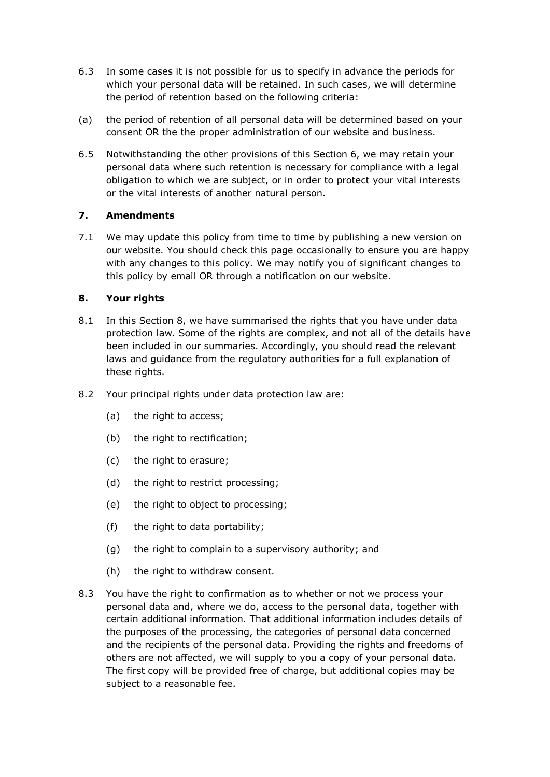- 6.3 In some cases it is not possible for us to specify in advance the periods for which your personal data will be retained. In such cases, we will determine the period of retention based on the following criteria:
- (a) the period of retention of all personal data will be determined based on your consent OR the the proper administration of our website and business.
- 6.5 Notwithstanding the other provisions of this Section 6, we may retain your personal data where such retention is necessary for compliance with a legal obligation to which we are subject, or in order to protect your vital interests or the vital interests of another natural person.

## **7. Amendments**

7.1 We may update this policy from time to time by publishing a new version on our website. You should check this page occasionally to ensure you are happy with any changes to this policy. We may notify you of significant changes to this policy by email OR through a notification on our website.

#### **8. Your rights**

- 8.1 In this Section 8, we have summarised the rights that you have under data protection law. Some of the rights are complex, and not all of the details have been included in our summaries. Accordingly, you should read the relevant laws and guidance from the regulatory authorities for a full explanation of these rights.
- 8.2 Your principal rights under data protection law are:
	- (a) the right to access;
	- (b) the right to rectification;
	- (c) the right to erasure;
	- (d) the right to restrict processing;
	- (e) the right to object to processing;
	- (f) the right to data portability;
	- (g) the right to complain to a supervisory authority; and
	- (h) the right to withdraw consent.
- 8.3 You have the right to confirmation as to whether or not we process your personal data and, where we do, access to the personal data, together with certain additional information. That additional information includes details of the purposes of the processing, the categories of personal data concerned and the recipients of the personal data. Providing the rights and freedoms of others are not affected, we will supply to you a copy of your personal data. The first copy will be provided free of charge, but additional copies may be subject to a reasonable fee.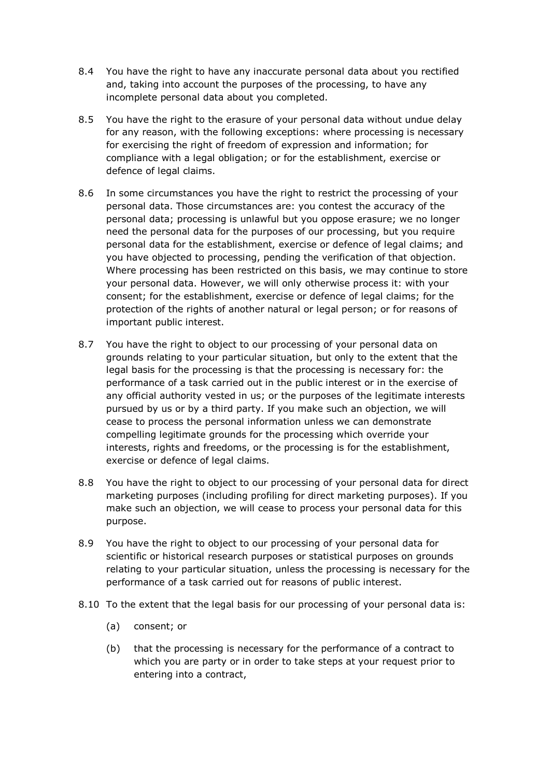- 8.4 You have the right to have any inaccurate personal data about you rectified and, taking into account the purposes of the processing, to have any incomplete personal data about you completed.
- 8.5 You have the right to the erasure of your personal data without undue delay for any reason, with the following exceptions: where processing is necessary for exercising the right of freedom of expression and information; for compliance with a legal obligation; or for the establishment, exercise or defence of legal claims.
- 8.6 In some circumstances you have the right to restrict the processing of your personal data. Those circumstances are: you contest the accuracy of the personal data; processing is unlawful but you oppose erasure; we no longer need the personal data for the purposes of our processing, but you require personal data for the establishment, exercise or defence of legal claims; and you have objected to processing, pending the verification of that objection. Where processing has been restricted on this basis, we may continue to store your personal data. However, we will only otherwise process it: with your consent; for the establishment, exercise or defence of legal claims; for the protection of the rights of another natural or legal person; or for reasons of important public interest.
- 8.7 You have the right to object to our processing of your personal data on grounds relating to your particular situation, but only to the extent that the legal basis for the processing is that the processing is necessary for: the performance of a task carried out in the public interest or in the exercise of any official authority vested in us; or the purposes of the legitimate interests pursued by us or by a third party. If you make such an objection, we will cease to process the personal information unless we can demonstrate compelling legitimate grounds for the processing which override your interests, rights and freedoms, or the processing is for the establishment, exercise or defence of legal claims.
- 8.8 You have the right to object to our processing of your personal data for direct marketing purposes (including profiling for direct marketing purposes). If you make such an objection, we will cease to process your personal data for this purpose.
- 8.9 You have the right to object to our processing of your personal data for scientific or historical research purposes or statistical purposes on grounds relating to your particular situation, unless the processing is necessary for the performance of a task carried out for reasons of public interest.
- 8.10 To the extent that the legal basis for our processing of your personal data is:
	- (a) consent; or
	- (b) that the processing is necessary for the performance of a contract to which you are party or in order to take steps at your request prior to entering into a contract,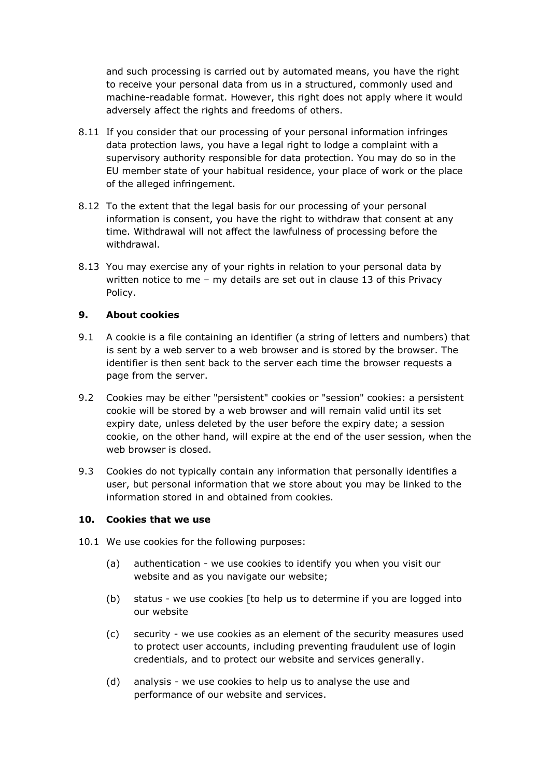and such processing is carried out by automated means, you have the right to receive your personal data from us in a structured, commonly used and machine-readable format. However, this right does not apply where it would adversely affect the rights and freedoms of others.

- 8.11 If you consider that our processing of your personal information infringes data protection laws, you have a legal right to lodge a complaint with a supervisory authority responsible for data protection. You may do so in the EU member state of your habitual residence, your place of work or the place of the alleged infringement.
- 8.12 To the extent that the legal basis for our processing of your personal information is consent, you have the right to withdraw that consent at any time. Withdrawal will not affect the lawfulness of processing before the withdrawal.
- 8.13 You may exercise any of your rights in relation to your personal data by written notice to me – my details are set out in clause 13 of this Privacy Policy.

#### **9. About cookies**

- 9.1 A cookie is a file containing an identifier (a string of letters and numbers) that is sent by a web server to a web browser and is stored by the browser. The identifier is then sent back to the server each time the browser requests a page from the server.
- 9.2 Cookies may be either "persistent" cookies or "session" cookies: a persistent cookie will be stored by a web browser and will remain valid until its set expiry date, unless deleted by the user before the expiry date; a session cookie, on the other hand, will expire at the end of the user session, when the web browser is closed.
- 9.3 Cookies do not typically contain any information that personally identifies a user, but personal information that we store about you may be linked to the information stored in and obtained from cookies.

#### **10. Cookies that we use**

- 10.1 We use cookies for the following purposes:
	- (a) authentication we use cookies to identify you when you visit our website and as you navigate our website;
	- (b) status we use cookies [to help us to determine if you are logged into our website
	- (c) security we use cookies as an element of the security measures used to protect user accounts, including preventing fraudulent use of login credentials, and to protect our website and services generally.
	- (d) analysis we use cookies to help us to analyse the use and performance of our website and services.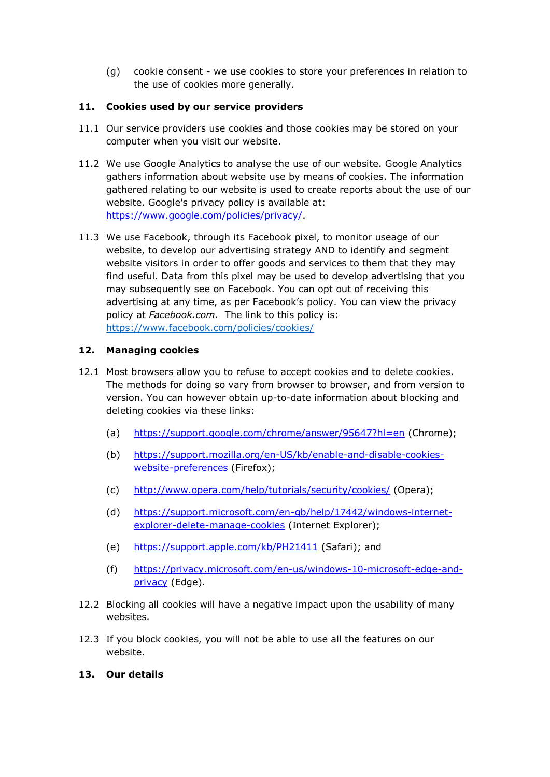(g) cookie consent - we use cookies to store your preferences in relation to the use of cookies more generally.

## **11. Cookies used by our service providers**

- 11.1 Our service providers use cookies and those cookies may be stored on your computer when you visit our website.
- 11.2 We use Google Analytics to analyse the use of our website. Google Analytics gathers information about website use by means of cookies. The information gathered relating to our website is used to create reports about the use of our website. Google's privacy policy is available at: [https://www.google.com/policies/privacy/.](https://www.google.com/policies/privacy/)
- 11.3 We use Facebook, through its Facebook pixel, to monitor useage of our website, to develop our advertising strategy AND to identify and segment website visitors in order to offer goods and services to them that they may find useful. Data from this pixel may be used to develop advertising that you may subsequently see on Facebook. You can opt out of receiving this advertising at any time, as per Facebook's policy. You can view the privacy policy at *Facebook.com.* The link to this policy is: <https://www.facebook.com/policies/cookies/>

#### **12. Managing cookies**

- 12.1 Most browsers allow you to refuse to accept cookies and to delete cookies. The methods for doing so vary from browser to browser, and from version to version. You can however obtain up-to-date information about blocking and deleting cookies via these links:
	- (a) <https://support.google.com/chrome/answer/95647?hl=en> (Chrome);
	- (b) [https://support.mozilla.org/en-US/kb/enable-and-disable-cookies](https://support.mozilla.org/en-US/kb/enable-and-disable-cookies-website-preferences)[website-preferences](https://support.mozilla.org/en-US/kb/enable-and-disable-cookies-website-preferences) (Firefox);
	- (c) <http://www.opera.com/help/tutorials/security/cookies/> (Opera);
	- (d) [https://support.microsoft.com/en-gb/help/17442/windows-internet](https://support.microsoft.com/en-gb/help/17442/windows-internet-explorer-delete-manage-cookies)[explorer-delete-manage-cookies](https://support.microsoft.com/en-gb/help/17442/windows-internet-explorer-delete-manage-cookies) (Internet Explorer);
	- (e) <https://support.apple.com/kb/PH21411> (Safari); and
	- (f) [https://privacy.microsoft.com/en-us/windows-10-microsoft-edge-and](https://privacy.microsoft.com/en-us/windows-10-microsoft-edge-and-privacy)[privacy](https://privacy.microsoft.com/en-us/windows-10-microsoft-edge-and-privacy) (Edge).
- 12.2 Blocking all cookies will have a negative impact upon the usability of many websites.
- 12.3 If you block cookies, you will not be able to use all the features on our website.

#### **13. Our details**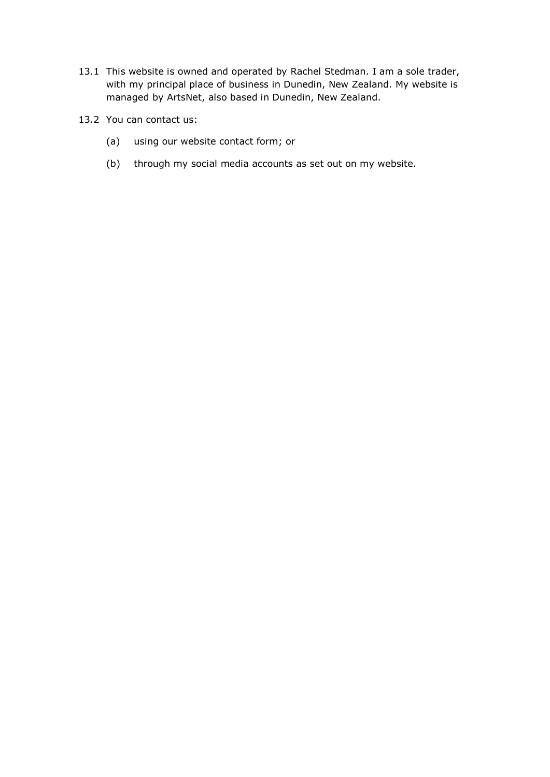- 13.1 This website is owned and operated by Rachel Stedman. I am a sole trader, with my principal place of business in Dunedin, New Zealand. My website is managed by ArtsNet, also based in Dunedin, New Zealand.
- 13.2 You can contact us:
	- (a) using our website contact form; or
	- (b) through my social media accounts as set out on my website.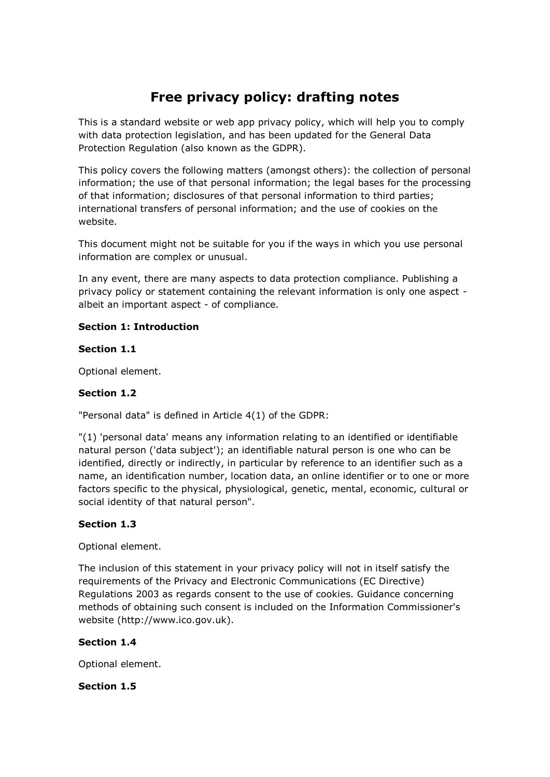# **Free privacy policy: drafting notes**

This is a standard website or web app privacy policy, which will help you to comply with data protection legislation, and has been updated for the General Data Protection Regulation (also known as the GDPR).

This policy covers the following matters (amongst others): the collection of personal information; the use of that personal information; the legal bases for the processing of that information; disclosures of that personal information to third parties; international transfers of personal information; and the use of cookies on the website.

This document might not be suitable for you if the ways in which you use personal information are complex or unusual.

In any event, there are many aspects to data protection compliance. Publishing a privacy policy or statement containing the relevant information is only one aspect albeit an important aspect - of compliance.

## **Section 1: Introduction**

#### **Section 1.1**

Optional element.

## **Section 1.2**

"Personal data" is defined in Article 4(1) of the GDPR:

"(1) 'personal data' means any information relating to an identified or identifiable natural person ('data subject'); an identifiable natural person is one who can be identified, directly or indirectly, in particular by reference to an identifier such as a name, an identification number, location data, an online identifier or to one or more factors specific to the physical, physiological, genetic, mental, economic, cultural or social identity of that natural person".

#### **Section 1.3**

Optional element.

The inclusion of this statement in your privacy policy will not in itself satisfy the requirements of the Privacy and Electronic Communications (EC Directive) Regulations 2003 as regards consent to the use of cookies. Guidance concerning methods of obtaining such consent is included on the Information Commissioner's website (http://www.ico.gov.uk).

#### **Section 1.4**

Optional element.

#### **Section 1.5**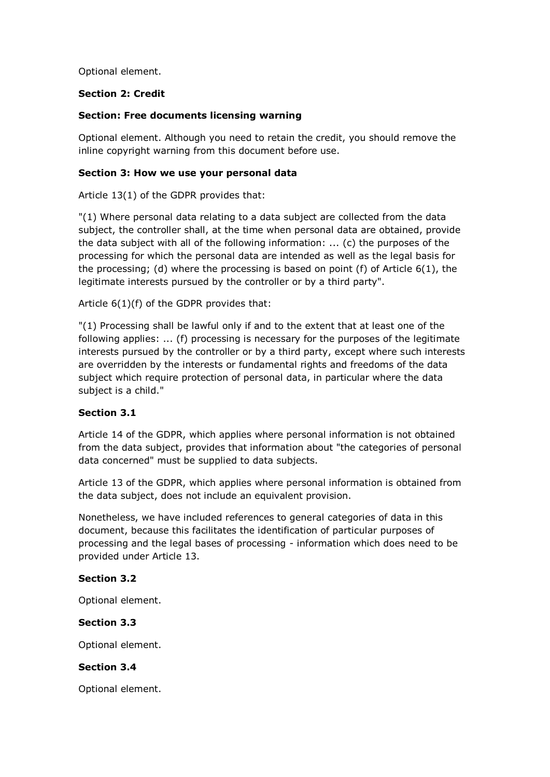Optional element.

#### **Section 2: Credit**

#### **Section: Free documents licensing warning**

Optional element. Although you need to retain the credit, you should remove the inline copyright warning from this document before use.

#### **Section 3: How we use your personal data**

Article 13(1) of the GDPR provides that:

"(1) Where personal data relating to a data subject are collected from the data subject, the controller shall, at the time when personal data are obtained, provide the data subject with all of the following information: ... (c) the purposes of the processing for which the personal data are intended as well as the legal basis for the processing; (d) where the processing is based on point (f) of Article  $6(1)$ , the legitimate interests pursued by the controller or by a third party".

Article 6(1)(f) of the GDPR provides that:

"(1) Processing shall be lawful only if and to the extent that at least one of the following applies: ... (f) processing is necessary for the purposes of the legitimate interests pursued by the controller or by a third party, except where such interests are overridden by the interests or fundamental rights and freedoms of the data subject which require protection of personal data, in particular where the data subject is a child."

#### **Section 3.1**

Article 14 of the GDPR, which applies where personal information is not obtained from the data subject, provides that information about "the categories of personal data concerned" must be supplied to data subjects.

Article 13 of the GDPR, which applies where personal information is obtained from the data subject, does not include an equivalent provision.

Nonetheless, we have included references to general categories of data in this document, because this facilitates the identification of particular purposes of processing and the legal bases of processing - information which does need to be provided under Article 13.

#### **Section 3.2**

Optional element.

#### **Section 3.3**

Optional element.

#### **Section 3.4**

Optional element.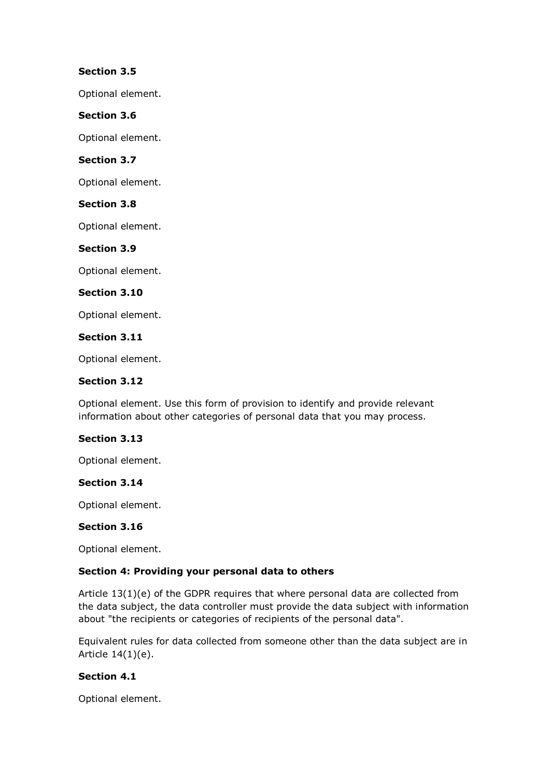### **Section 3.5**

Optional element.

## **Section 3.6**

Optional element.

## **Section 3.7**

Optional element.

#### **Section 3.8**

Optional element.

## **Section 3.9**

Optional element.

#### **Section 3.10**

Optional element.

#### **Section 3.11**

Optional element.

#### **Section 3.12**

Optional element. Use this form of provision to identify and provide relevant information about other categories of personal data that you may process.

#### **Section 3.13**

Optional element.

#### **Section 3.14**

Optional element.

#### **Section 3.16**

Optional element.

#### **Section 4: Providing your personal data to others**

Article 13(1)(e) of the GDPR requires that where personal data are collected from the data subject, the data controller must provide the data subject with information about "the recipients or categories of recipients of the personal data".

Equivalent rules for data collected from someone other than the data subject are in Article 14(1)(e).

#### **Section 4.1**

Optional element.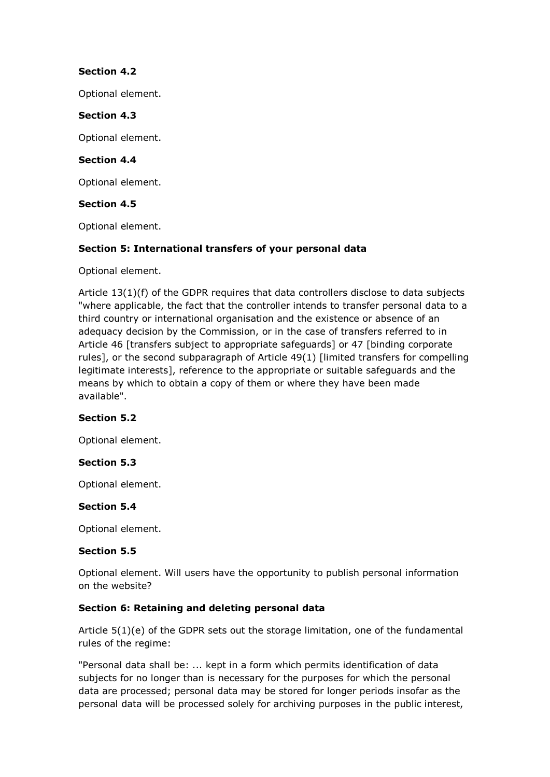## **Section 4.2**

Optional element.

#### **Section 4.3**

Optional element.

#### **Section 4.4**

Optional element.

#### **Section 4.5**

Optional element.

#### **Section 5: International transfers of your personal data**

Optional element.

Article 13(1)(f) of the GDPR requires that data controllers disclose to data subjects "where applicable, the fact that the controller intends to transfer personal data to a third country or international organisation and the existence or absence of an adequacy decision by the Commission, or in the case of transfers referred to in Article 46 [transfers subject to appropriate safeguards] or 47 [binding corporate rules], or the second subparagraph of Article 49(1) [limited transfers for compelling legitimate interests], reference to the appropriate or suitable safeguards and the means by which to obtain a copy of them or where they have been made available".

#### **Section 5.2**

Optional element.

#### **Section 5.3**

Optional element.

#### **Section 5.4**

Optional element.

#### **Section 5.5**

Optional element. Will users have the opportunity to publish personal information on the website?

#### **Section 6: Retaining and deleting personal data**

Article 5(1)(e) of the GDPR sets out the storage limitation, one of the fundamental rules of the regime:

"Personal data shall be: ... kept in a form which permits identification of data subjects for no longer than is necessary for the purposes for which the personal data are processed; personal data may be stored for longer periods insofar as the personal data will be processed solely for archiving purposes in the public interest,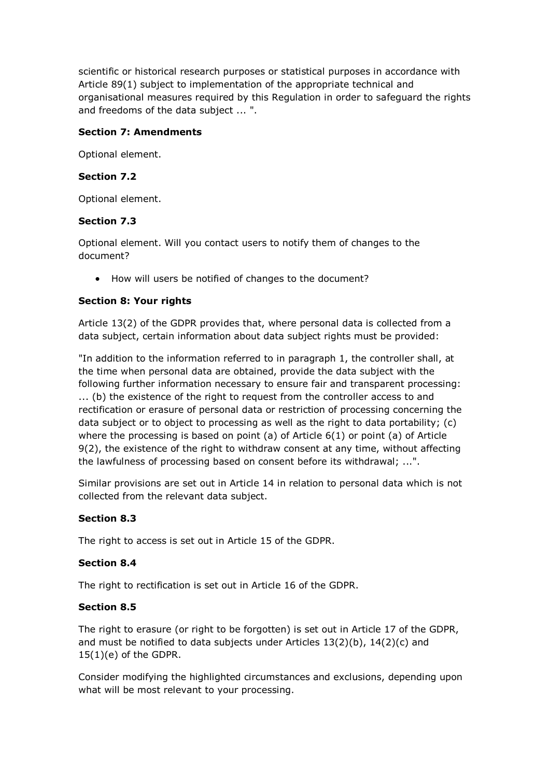scientific or historical research purposes or statistical purposes in accordance with Article 89(1) subject to implementation of the appropriate technical and organisational measures required by this Regulation in order to safeguard the rights and freedoms of the data subject ... ".

## **Section 7: Amendments**

Optional element.

## **Section 7.2**

Optional element.

## **Section 7.3**

Optional element. Will you contact users to notify them of changes to the document?

• How will users be notified of changes to the document?

## **Section 8: Your rights**

Article 13(2) of the GDPR provides that, where personal data is collected from a data subject, certain information about data subject rights must be provided:

"In addition to the information referred to in paragraph 1, the controller shall, at the time when personal data are obtained, provide the data subject with the following further information necessary to ensure fair and transparent processing: ... (b) the existence of the right to request from the controller access to and rectification or erasure of personal data or restriction of processing concerning the data subject or to object to processing as well as the right to data portability; (c) where the processing is based on point  $(a)$  of Article  $6(1)$  or point  $(a)$  of Article 9(2), the existence of the right to withdraw consent at any time, without affecting the lawfulness of processing based on consent before its withdrawal; ...".

Similar provisions are set out in Article 14 in relation to personal data which is not collected from the relevant data subject.

## **Section 8.3**

The right to access is set out in Article 15 of the GDPR.

#### **Section 8.4**

The right to rectification is set out in Article 16 of the GDPR.

#### **Section 8.5**

The right to erasure (or right to be forgotten) is set out in Article 17 of the GDPR, and must be notified to data subjects under Articles  $13(2)(b)$ ,  $14(2)(c)$  and 15(1)(e) of the GDPR.

Consider modifying the highlighted circumstances and exclusions, depending upon what will be most relevant to your processing.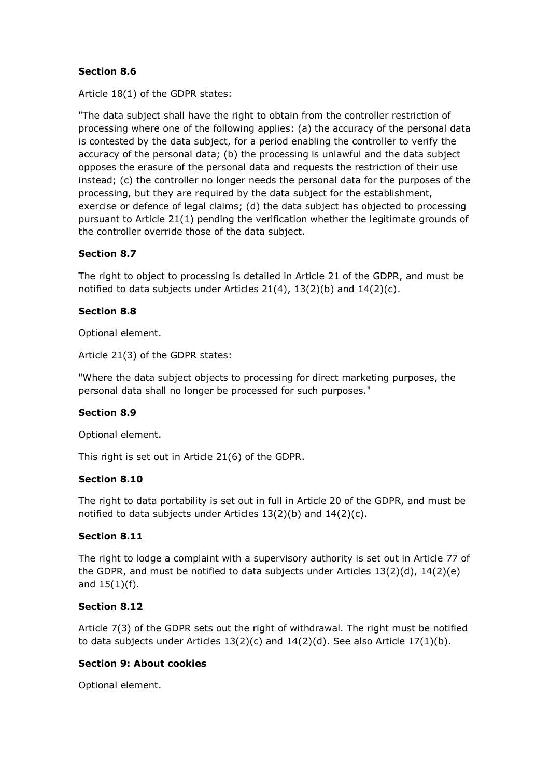## **Section 8.6**

Article 18(1) of the GDPR states:

"The data subject shall have the right to obtain from the controller restriction of processing where one of the following applies: (a) the accuracy of the personal data is contested by the data subject, for a period enabling the controller to verify the accuracy of the personal data; (b) the processing is unlawful and the data subject opposes the erasure of the personal data and requests the restriction of their use instead; (c) the controller no longer needs the personal data for the purposes of the processing, but they are required by the data subject for the establishment, exercise or defence of legal claims; (d) the data subject has objected to processing pursuant to Article 21(1) pending the verification whether the legitimate grounds of the controller override those of the data subject.

#### **Section 8.7**

The right to object to processing is detailed in Article 21 of the GDPR, and must be notified to data subjects under Articles  $21(4)$ ,  $13(2)(b)$  and  $14(2)(c)$ .

#### **Section 8.8**

Optional element.

Article 21(3) of the GDPR states:

"Where the data subject objects to processing for direct marketing purposes, the personal data shall no longer be processed for such purposes."

#### **Section 8.9**

Optional element.

This right is set out in Article 21(6) of the GDPR.

#### **Section 8.10**

The right to data portability is set out in full in Article 20 of the GDPR, and must be notified to data subjects under Articles 13(2)(b) and 14(2)(c).

#### **Section 8.11**

The right to lodge a complaint with a supervisory authority is set out in Article 77 of the GDPR, and must be notified to data subjects under Articles 13(2)(d), 14(2)(e) and 15(1)(f).

#### **Section 8.12**

Article 7(3) of the GDPR sets out the right of withdrawal. The right must be notified to data subjects under Articles  $13(2)(c)$  and  $14(2)(d)$ . See also Article  $17(1)(b)$ .

#### **Section 9: About cookies**

Optional element.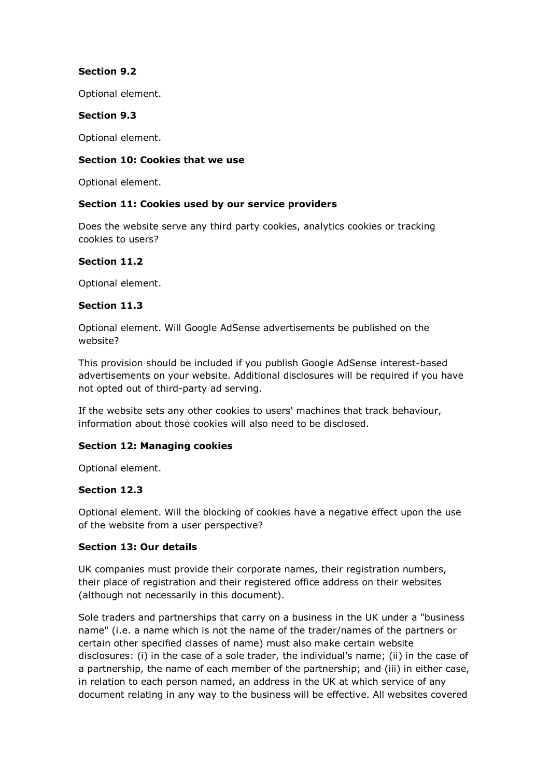## **Section 9.2**

Optional element.

#### **Section 9.3**

Optional element.

#### **Section 10: Cookies that we use**

Optional element.

#### **Section 11: Cookies used by our service providers**

Does the website serve any third party cookies, analytics cookies or tracking cookies to users?

#### **Section 11.2**

Optional element.

#### **Section 11.3**

Optional element. Will Google AdSense advertisements be published on the website?

This provision should be included if you publish Google AdSense interest-based advertisements on your website. Additional disclosures will be required if you have not opted out of third-party ad serving.

If the website sets any other cookies to users' machines that track behaviour, information about those cookies will also need to be disclosed.

#### **Section 12: Managing cookies**

Optional element.

#### **Section 12.3**

Optional element. Will the blocking of cookies have a negative effect upon the use of the website from a user perspective?

#### **Section 13: Our details**

UK companies must provide their corporate names, their registration numbers, their place of registration and their registered office address on their websites (although not necessarily in this document).

Sole traders and partnerships that carry on a business in the UK under a "business name" (i.e. a name which is not the name of the trader/names of the partners or certain other specified classes of name) must also make certain website disclosures: (i) in the case of a sole trader, the individual's name; (ii) in the case of a partnership, the name of each member of the partnership; and (iii) in either case, in relation to each person named, an address in the UK at which service of any document relating in any way to the business will be effective. All websites covered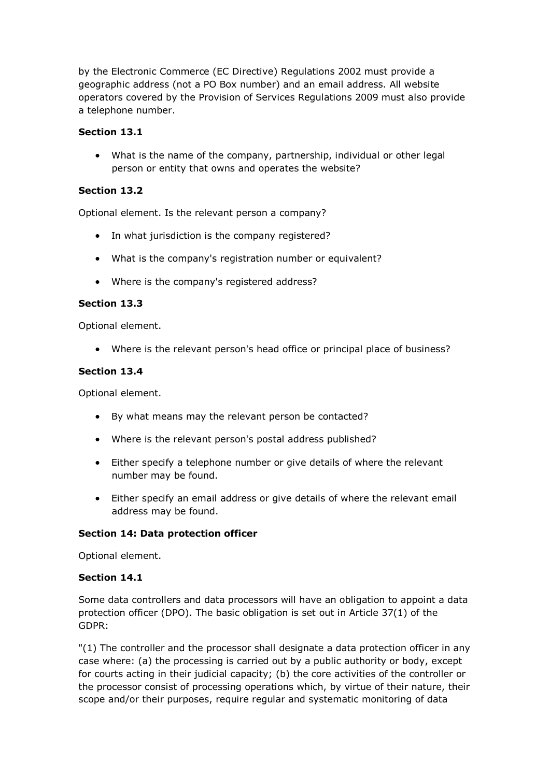by the Electronic Commerce (EC Directive) Regulations 2002 must provide a geographic address (not a PO Box number) and an email address. All website operators covered by the Provision of Services Regulations 2009 must also provide a telephone number.

## **Section 13.1**

• What is the name of the company, partnership, individual or other legal person or entity that owns and operates the website?

### **Section 13.2**

Optional element. Is the relevant person a company?

- In what jurisdiction is the company registered?
- What is the company's registration number or equivalent?
- Where is the company's registered address?

#### **Section 13.3**

Optional element.

• Where is the relevant person's head office or principal place of business?

#### **Section 13.4**

Optional element.

- By what means may the relevant person be contacted?
- Where is the relevant person's postal address published?
- Either specify a telephone number or give details of where the relevant number may be found.
- Either specify an email address or give details of where the relevant email address may be found.

#### **Section 14: Data protection officer**

Optional element.

#### **Section 14.1**

Some data controllers and data processors will have an obligation to appoint a data protection officer (DPO). The basic obligation is set out in Article 37(1) of the GDPR:

"(1) The controller and the processor shall designate a data protection officer in any case where: (a) the processing is carried out by a public authority or body, except for courts acting in their judicial capacity; (b) the core activities of the controller or the processor consist of processing operations which, by virtue of their nature, their scope and/or their purposes, require regular and systematic monitoring of data